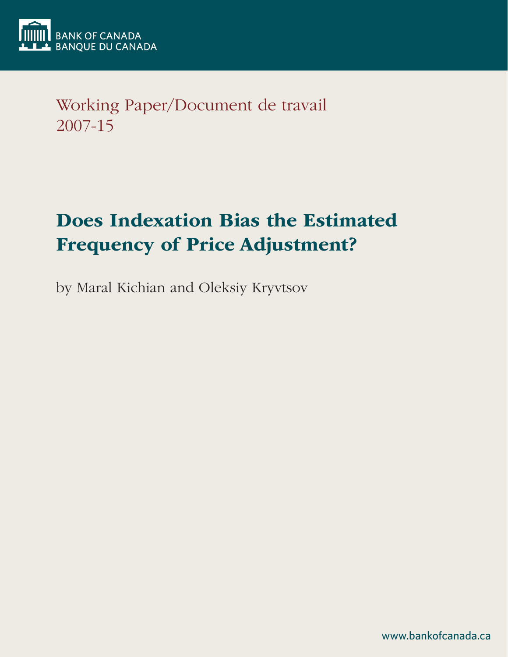

Working Paper/Document de travail 2007-15

# Does Indexation Bias the Estimated Frequency of Price Adjustment?

by Maral Kichian and Oleksiy Kryvtsov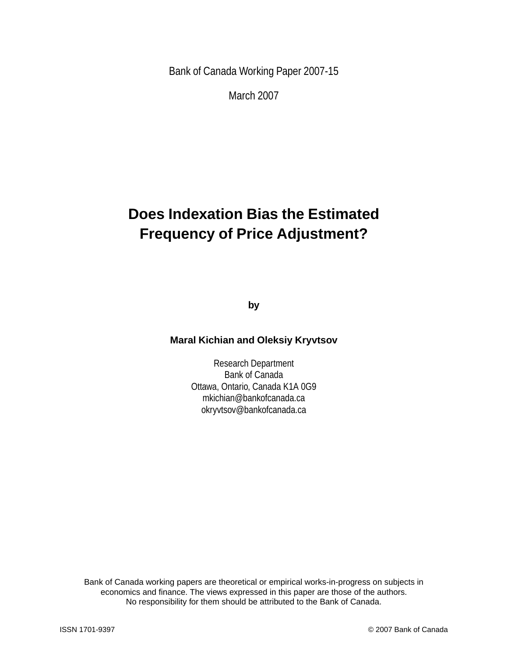Bank of Canada Working Paper 2007-15

March 2007

## **Does Indexation Bias the Estimated Frequency of Price Adjustment?**

**by**

#### **Maral Kichian and Oleksiy Kryvtsov**

Research Department Bank of Canada Ottawa, Ontario, Canada K1A 0G9 mkichian@bankofcanada.ca okryvtsov@bankofcanada.ca

Bank of Canada working papers are theoretical or empirical works-in-progress on subjects in economics and finance. The views expressed in this paper are those of the authors. No responsibility for them should be attributed to the Bank of Canada.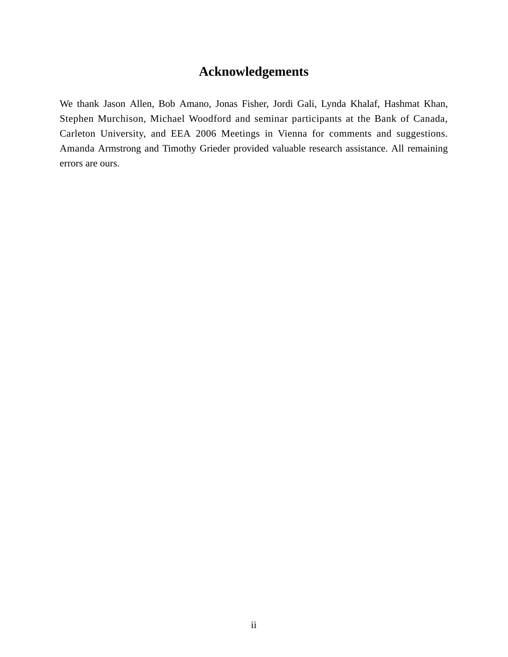## **Acknowledgements**

We thank Jason Allen, Bob Amano, Jonas Fisher, Jordi Gali, Lynda Khalaf, Hashmat Khan, Stephen Murchison, Michael Woodford and seminar participants at the Bank of Canada, Carleton University, and EEA 2006 Meetings in Vienna for comments and suggestions. Amanda Armstrong and Timothy Grieder provided valuable research assistance. All remaining errors are ours.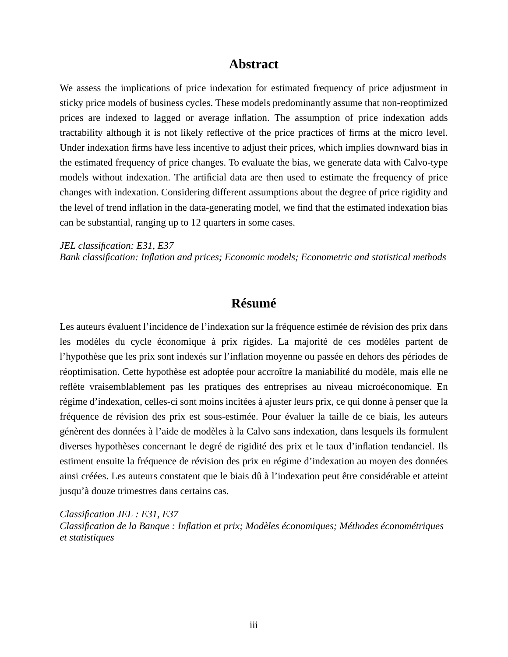#### **Abstract**

We assess the implications of price indexation for estimated frequency of price adjustment in sticky price models of business cycles. These models predominantly assume that non-reoptimized prices are indexed to lagged or average inflation. The assumption of price indexation adds tractability although it is not likely reflective of the price practices of firms at the micro level. Under indexation firms have less incentive to adjust their prices, which implies downward bias in the estimated frequency of price changes. To evaluate the bias, we generate data with Calvo-type models without indexation. The artificial data are then used to estimate the frequency of price changes with indexation. Considering different assumptions about the degree of price rigidity and the level of trend inflation in the data-generating model, we find that the estimated indexation bias can be substantial, ranging up to 12 quarters in some cases.

*JEL classification: E31, E37*

*Bank classification: Inflation and prices; Economic models; Econometric and statistical methods*

## **Résumé**

Les auteurs évaluent l'incidence de l'indexation sur la fréquence estimée de révision des prix dans les modèles du cycle économique à prix rigides. La majorité de ces modèles partent de l'hypothèse que les prix sont indexés sur l'inflation moyenne ou passée en dehors des périodes de réoptimisation. Cette hypothèse est adoptée pour accroître la maniabilité du modèle, mais elle ne reflète vraisemblablement pas les pratiques des entreprises au niveau microéconomique. En régime d'indexation, celles-ci sont moins incitées à ajuster leurs prix, ce qui donne à penser que la fréquence de révision des prix est sous-estimée. Pour évaluer la taille de ce biais, les auteurs génèrent des données à l'aide de modèles à la Calvo sans indexation, dans lesquels ils formulent diverses hypothèses concernant le degré de rigidité des prix et le taux d'inflation tendanciel. Ils estiment ensuite la fréquence de révision des prix en régime d'indexation au moyen des données ainsi créées. Les auteurs constatent que le biais dû à l'indexation peut être considérable et atteint jusqu'à douze trimestres dans certains cas.

*Classification JEL : E31, E37 Classification de la Banque : Inflation et prix; Modèles économiques; Méthodes économétriques et statistiques*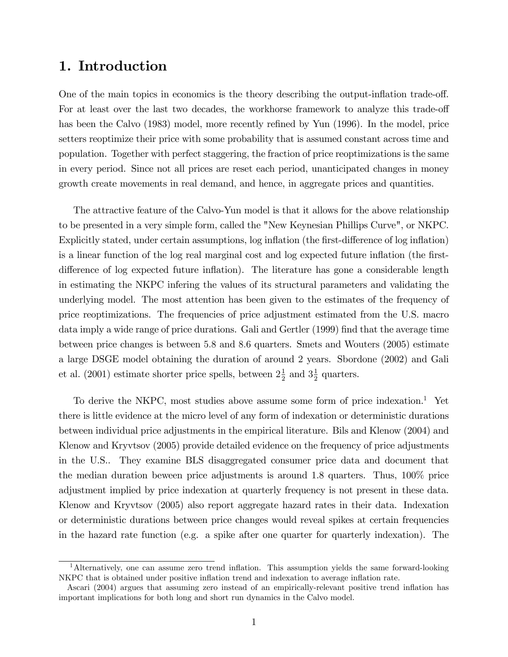## 1. Introduction

One of the main topics in economics is the theory describing the output-inflation trade-off. For at least over the last two decades, the workhorse framework to analyze this trade-off has been the Calvo (1983) model, more recently refined by Yun (1996). In the model, price setters reoptimize their price with some probability that is assumed constant across time and population. Together with perfect staggering, the fraction of price reoptimizations is the same in every period. Since not all prices are reset each period, unanticipated changes in money growth create movements in real demand, and hence, in aggregate prices and quantities.

The attractive feature of the Calvo-Yun model is that it allows for the above relationship to be presented in a very simple form, called the "New Keynesian Phillips Curve", or NKPC. Explicitly stated, under certain assumptions, log inflation (the first-difference of log inflation) is a linear function of the log real marginal cost and log expected future inflation (the firstdifference of log expected future inflation). The literature has gone a considerable length in estimating the NKPC infering the values of its structural parameters and validating the underlying model. The most attention has been given to the estimates of the frequency of price reoptimizations. The frequencies of price adjustment estimated from the U.S. macro data imply a wide range of price durations. Gali and Gertler (1999) find that the average time between price changes is between 5:8 and 8:6 quarters. Smets and Wouters (2005) estimate a large DSGE model obtaining the duration of around 2 years. Sbordone (2002) and Gali et al. (2001) estimate shorter price spells, between  $2\frac{1}{2}$  $\frac{1}{2}$  and  $3\frac{1}{2}$  $\frac{1}{2}$  quarters.

To derive the NKPC, most studies above assume some form of price indexation.<sup>1</sup> Yet there is little evidence at the micro level of any form of indexation or deterministic durations between individual price adjustments in the empirical literature. Bils and Klenow (2004) and Klenow and Kryvtsov (2005) provide detailed evidence on the frequency of price adjustments in the U.S.. They examine BLS disaggregated consumer price data and document that the median duration beween price adjustments is around 1.8 quarters. Thus, 100% price adjustment implied by price indexation at quarterly frequency is not present in these data. Klenow and Kryvtsov (2005) also report aggregate hazard rates in their data. Indexation or deterministic durations between price changes would reveal spikes at certain frequencies in the hazard rate function (e.g. a spike after one quarter for quarterly indexation). The

<sup>&</sup>lt;sup>1</sup>Alternatively, one can assume zero trend inflation. This assumption yields the same forward-looking NKPC that is obtained under positive inflation trend and indexation to average inflation rate.

Ascari (2004) argues that assuming zero instead of an empirically-relevant positive trend ináation has important implications for both long and short run dynamics in the Calvo model.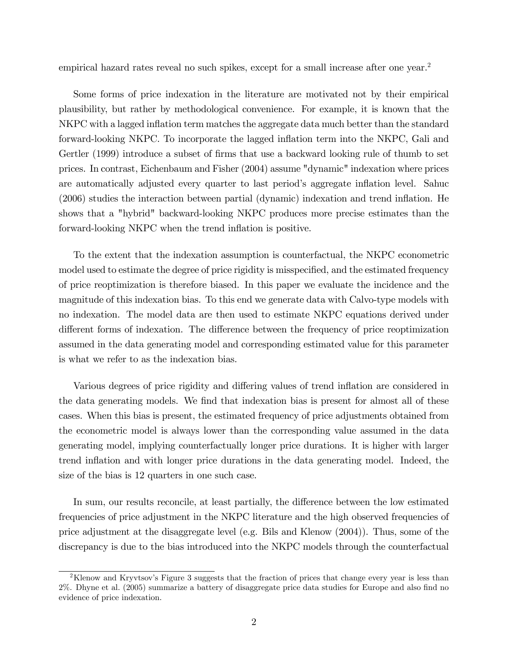empirical hazard rates reveal no such spikes, except for a small increase after one year.<sup>2</sup>

Some forms of price indexation in the literature are motivated not by their empirical plausibility, but rather by methodological convenience. For example, it is known that the NKPC with a lagged inflation term matches the aggregate data much better than the standard forward-looking NKPC. To incorporate the lagged inflation term into the NKPC, Gali and Gertler (1999) introduce a subset of firms that use a backward looking rule of thumb to set prices. In contrast, Eichenbaum and Fisher (2004) assume "dynamic" indexation where prices are automatically adjusted every quarter to last period's aggregate inflation level. Sahuc (2006) studies the interaction between partial (dynamic) indexation and trend ináation. He shows that a "hybrid" backward-looking NKPC produces more precise estimates than the forward-looking NKPC when the trend inflation is positive.

To the extent that the indexation assumption is counterfactual, the NKPC econometric model used to estimate the degree of price rigidity is misspecified, and the estimated frequency of price reoptimization is therefore biased. In this paper we evaluate the incidence and the magnitude of this indexation bias. To this end we generate data with Calvo-type models with no indexation. The model data are then used to estimate NKPC equations derived under different forms of indexation. The difference between the frequency of price reoptimization assumed in the data generating model and corresponding estimated value for this parameter is what we refer to as the indexation bias.

Various degrees of price rigidity and differing values of trend inflation are considered in the data generating models. We find that indexation bias is present for almost all of these cases. When this bias is present, the estimated frequency of price adjustments obtained from the econometric model is always lower than the corresponding value assumed in the data generating model, implying counterfactually longer price durations. It is higher with larger trend inflation and with longer price durations in the data generating model. Indeed, the size of the bias is 12 quarters in one such case.

In sum, our results reconcile, at least partially, the difference between the low estimated frequencies of price adjustment in the NKPC literature and the high observed frequencies of price adjustment at the disaggregate level (e.g. Bils and Klenow (2004)). Thus, some of the discrepancy is due to the bias introduced into the NKPC models through the counterfactual

<sup>&</sup>lt;sup>2</sup>Klenow and Kryvtsov's Figure 3 suggests that the fraction of prices that change every year is less than 2%. Dhyne et al. (2005) summarize a battery of disaggregate price data studies for Europe and also Önd no evidence of price indexation.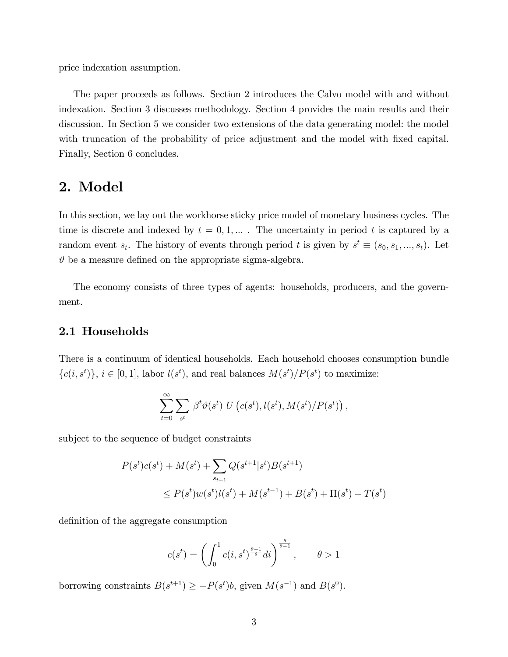price indexation assumption.

The paper proceeds as follows. Section 2 introduces the Calvo model with and without indexation. Section 3 discusses methodology. Section 4 provides the main results and their discussion. In Section 5 we consider two extensions of the data generating model: the model with truncation of the probability of price adjustment and the model with fixed capital. Finally, Section 6 concludes.

### 2. Model

In this section, we lay out the workhorse sticky price model of monetary business cycles. The time is discrete and indexed by  $t = 0, 1, ...$ . The uncertainty in period t is captured by a random event  $s_t$ . The history of events through period t is given by  $s^t \equiv (s_0, s_1, ..., s_t)$ . Let  $\vartheta$  be a measure defined on the appropriate sigma-algebra.

The economy consists of three types of agents: households, producers, and the government.

#### 2.1 Households

There is a continuum of identical households. Each household chooses consumption bundle  $\{c(i, s^t)\}, i \in [0, 1],$  labor  $l(s^t)$ , and real balances  $M(s^t)/P(s^t)$  to maximize:

$$
\sum_{t=0}^{\infty} \sum_{s^t} \beta^t \vartheta(s^t) U(c(s^t), l(s^t), M(s^t)/P(s^t)),
$$

subject to the sequence of budget constraints

$$
P(st)c(st) + M(st) + \sum_{s_{t+1}} Q(st+1|st)B(st+1)
$$
  
 
$$
\leq P(st)w(st)l(st) + M(st-1) + B(st) + \Pi(st) + T(st)
$$

definition of the aggregate consumption

$$
c(s^{t}) = \left(\int_0^1 c(i, s^{t})^{\frac{\theta-1}{\theta}} di\right)^{\frac{\theta}{\theta-1}}, \qquad \theta > 1
$$

borrowing constraints  $B(s^{t+1}) \ge -P(s^t)\overline{b}$ , given  $M(s^{-1})$  and  $B(s^0)$ .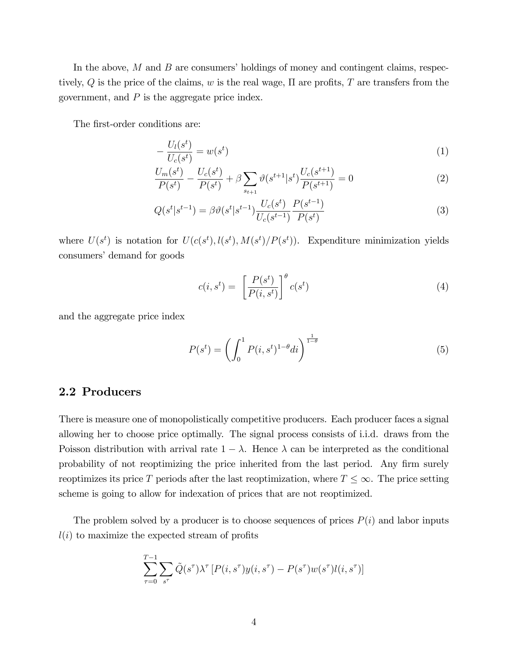In the above,  $M$  and  $B$  are consumers' holdings of money and contingent claims, respectively,  $Q$  is the price of the claims, w is the real wage,  $\Pi$  are profits,  $T$  are transfers from the government, and  $P$  is the aggregate price index.

The first-order conditions are:

$$
-\frac{U_l(s^t)}{U_c(s^t)} = w(s^t) \tag{1}
$$

$$
\frac{U_m(s^t)}{P(s^t)} - \frac{U_c(s^t)}{P(s^t)} + \beta \sum_{s_{t+1}} \vartheta(s^{t+1}|s^t) \frac{U_c(s^{t+1})}{P(s^{t+1})} = 0
$$
\n(2)

$$
Q(s^t|s^{t-1}) = \beta \vartheta(s^t|s^{t-1}) \frac{U_c(s^t)}{U_c(s^{t-1})} \frac{P(s^{t-1})}{P(s^t)}
$$
(3)

where  $U(s^t)$  is notation for  $U(c(s^t), l(s^t), M(s^t)/P(s^t))$ . Expenditure minimization yields consumers' demand for goods

$$
c(i, st) = \left[\frac{P(s^t)}{P(i, s^t)}\right]^{\theta} c(s^t)
$$
\n(4)

and the aggregate price index

$$
P(s^t) = \left(\int_0^1 P(i, s^t)^{1-\theta} di\right)^{\frac{1}{1-\theta}}
$$
\n
$$
\tag{5}
$$

#### 2.2 Producers

There is measure one of monopolistically competitive producers. Each producer faces a signal allowing her to choose price optimally. The signal process consists of i.i.d. draws from the Poisson distribution with arrival rate  $1 - \lambda$ . Hence  $\lambda$  can be interpreted as the conditional probability of not reoptimizing the price inherited from the last period. Any firm surely reoptimizes its price T periods after the last reoptimization, where  $T \leq \infty$ . The price setting scheme is going to allow for indexation of prices that are not reoptimized.

The problem solved by a producer is to choose sequences of prices  $P(i)$  and labor inputs  $l(i)$  to maximize the expected stream of profits

$$
\sum_{\tau=0}^{T-1} \sum_{s^{\tau}} \tilde{Q}(s^{\tau}) \lambda^{\tau} \left[ P(i, s^{\tau}) y(i, s^{\tau}) - P(s^{\tau}) w(s^{\tau}) l(i, s^{\tau}) \right]
$$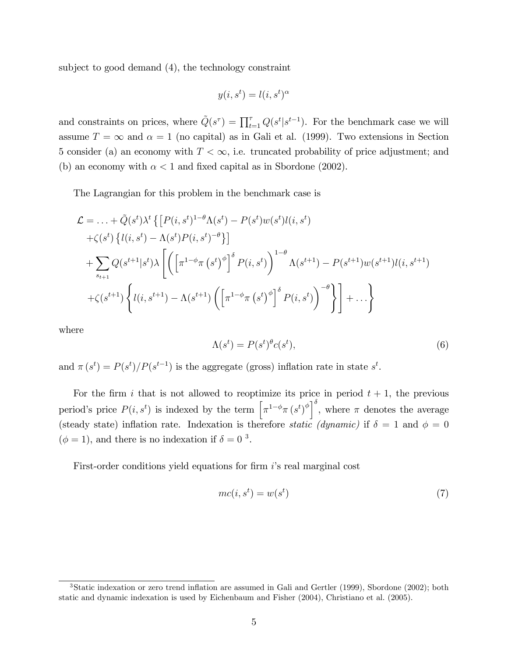subject to good demand (4), the technology constraint

$$
y(i, s^t) = l(i, s^t)^\alpha
$$

and constraints on prices, where  $\tilde{Q}(s^{\tau}) = \prod_{t=1}^{\tau} Q(s^t | s^{t-1})$ . For the benchmark case we will assume  $T = \infty$  and  $\alpha = 1$  (no capital) as in Gali et al. (1999). Two extensions in Section 5 consider (a) an economy with  $T < \infty$ , i.e. truncated probability of price adjustment; and (b) an economy with  $\alpha < 1$  and fixed capital as in Sbordone (2002).

The Lagrangian for this problem in the benchmark case is

$$
\mathcal{L} = \dots + \tilde{Q}(s^{t})\lambda^{t} \left\{ \left[ P(i, s^{t})^{-1-\theta} \Lambda(s^{t}) - P(s^{t}) w(s^{t}) l(i, s^{t}) \right] \right.\n+ \zeta(s^{t}) \left\{ l(i, s^{t}) - \Lambda(s^{t}) P(i, s^{t})^{-\theta} \right\} \right]\n+ \sum_{s_{t+1}} Q(s^{t+1}|s^{t})\lambda \left[ \left( \left[ \pi^{1-\phi} \pi(s^{t})^{\phi} \right]^{\delta} P(i, s^{t}) \right)^{1-\theta} \Lambda(s^{t+1}) - P(s^{t+1}) w(s^{t+1}) l(i, s^{t+1}) \right.\n+ \zeta(s^{t+1}) \left\{ l(i, s^{t+1}) - \Lambda(s^{t+1}) \left( \left[ \pi^{1-\phi} \pi(s^{t})^{\phi} \right]^{\delta} P(i, s^{t}) \right)^{-\theta} \right\} \right] + \dots \}
$$

where

$$
\Lambda(s^t) = P(s^t)^\theta c(s^t),\tag{6}
$$

and  $\pi(s^t) = P(s^t)/P(s^{t-1})$  is the aggregate (gross) inflation rate in state  $s^t$ .

For the firm i that is not allowed to reoptimize its price in period  $t + 1$ , the previous period's price  $P(i, s^t)$  is indexed by the term  $\left[\pi^{1-\phi}\pi(s^t)^{\phi}\right]^{\delta}$ , where  $\pi$  denotes the average (steady state) inflation rate. Indexation is therefore *static* (dynamic) if  $\delta = 1$  and  $\phi = 0$  $(\phi = 1)$ , and there is no indexation if  $\delta = 0$ <sup>3</sup>.

First-order conditions yield equations for firm is real marginal cost

$$
mc(i, st) = w(st)
$$
\n(7)

<sup>&</sup>lt;sup>3</sup>Static indexation or zero trend inflation are assumed in Gali and Gertler (1999), Sbordone (2002); both static and dynamic indexation is used by Eichenbaum and Fisher (2004), Christiano et al. (2005).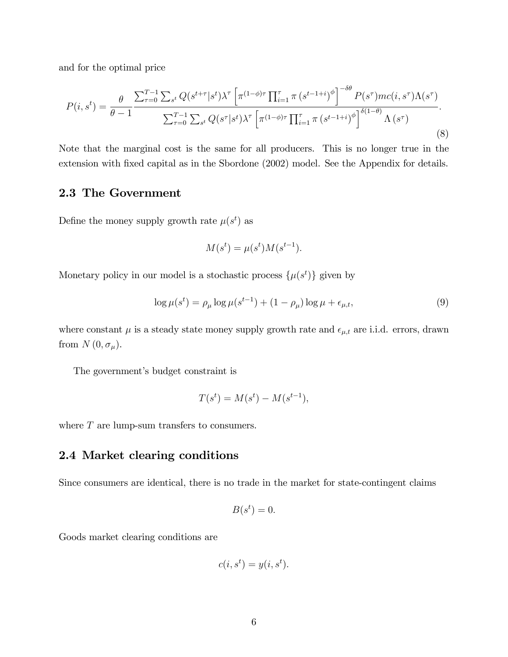and for the optimal price

$$
P(i, s^{t}) = \frac{\theta}{\theta - 1} \frac{\sum_{\tau=0}^{T-1} \sum_{s^{t}} Q(s^{t+\tau}|s^{t}) \lambda^{\tau} \left[ \pi^{(1-\phi)\tau} \prod_{i=1}^{\tau} \pi(s^{t-1+i})^{\phi} \right]^{-\delta \theta} P(s^{\tau}) mc(i, s^{\tau}) \Lambda(s^{\tau})}{\sum_{\tau=0}^{T-1} \sum_{s^{t}} Q(s^{\tau}|s^{t}) \lambda^{\tau} \left[ \pi^{(1-\phi)\tau} \prod_{i=1}^{\tau} \pi(s^{t-1+i})^{\phi} \right]^{\delta(1-\theta)} \Lambda(s^{\tau})}.
$$
\n(8)

Note that the marginal cost is the same for all producers. This is no longer true in the extension with fixed capital as in the Sbordone (2002) model. See the Appendix for details.

#### 2.3 The Government

Define the money supply growth rate  $\mu(s^t)$  as

$$
M(s^t) = \mu(s^t)M(s^{t-1}).
$$

Monetary policy in our model is a stochastic process  $\{\mu(s^t)\}\$  given by

$$
\log \mu(s^t) = \rho_\mu \log \mu(s^{t-1}) + (1 - \rho_\mu) \log \mu + \epsilon_{\mu, t},\tag{9}
$$

where constant  $\mu$  is a steady state money supply growth rate and  $\epsilon_{\mu,t}$  are i.i.d. errors, drawn from  $N(0, \sigma_\mu)$ .

The government's budget constraint is

$$
T(s^t) = M(s^t) - M(s^{t-1}),
$$

where  $T$  are lump-sum transfers to consumers.

#### 2.4 Market clearing conditions

Since consumers are identical, there is no trade in the market for state-contingent claims

$$
B(s^t) = 0.
$$

Goods market clearing conditions are

$$
c(i, s^t) = y(i, s^t).
$$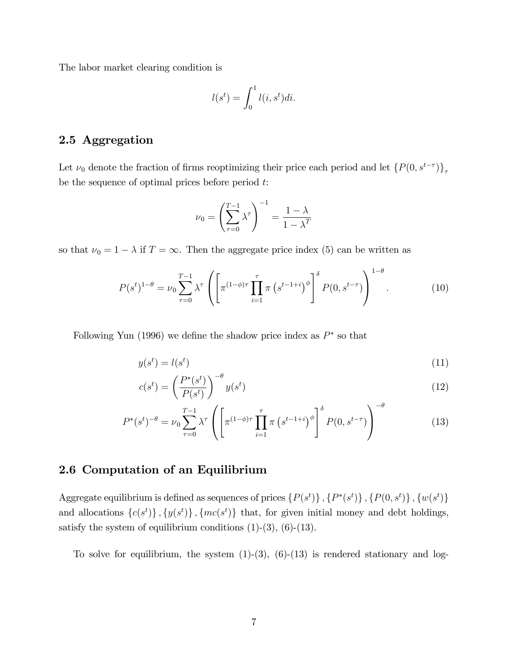The labor market clearing condition is

$$
l(s^t) = \int_0^1 l(i, s^t)di.
$$

#### 2.5 Aggregation

Let  $\nu_0$  denote the fraction of firms reoptimizing their price each period and let  $\{P(0, s^{t-\tau})\}_\tau$ be the sequence of optimal prices before period  $t$ :

$$
\nu_0 = \left(\sum_{\tau=0}^{T-1} \lambda^{\tau}\right)^{-1} = \frac{1-\lambda}{1-\lambda^T}
$$

so that  $\nu_0 = 1 - \lambda$  if  $T = \infty$ . Then the aggregate price index (5) can be written as

$$
P(s^t)^{1-\theta} = \nu_0 \sum_{\tau=0}^{T-1} \lambda^{\tau} \left( \left[ \pi^{(1-\phi)\tau} \prod_{i=1}^{\tau} \pi \left( s^{t-1+i} \right)^{\phi} \right]^{\delta} P(0, s^{t-\tau}) \right)^{1-\theta}.
$$
 (10)

Following Yun (1996) we define the shadow price index as  $P^*$  so that

$$
y(s^t) = l(s^t) \tag{11}
$$

$$
c(s^t) = \left(\frac{P^*(s^t)}{P(s^t)}\right)^{-\theta} y(s^t)
$$
\n(12)

$$
P^*(s^t)^{-\theta} = \nu_0 \sum_{\tau=0}^{T-1} \lambda^{\tau} \left( \left[ \pi^{(1-\phi)\tau} \prod_{i=1}^{\tau} \pi \left( s^{t-1+i} \right)^{\phi} \right]^{\delta} P(0, s^{t-\tau}) \right)^{-\theta} \tag{13}
$$

#### 2.6 Computation of an Equilibrium

Aggregate equilibrium is defined as sequences of prices  $\{P(s^t)\}, \{P^*(s^t)\}, \{P(0, s^t)\}, \{w(s^t)\}$ and allocations  $\{c(s^t)\}, \{y(s^t)\}, \{mc(s^t)\}\$  that, for given initial money and debt holdings, satisfy the system of equilibrium conditions  $(1)-(3)$ ,  $(6)-(13)$ .

To solve for equilibrium, the system  $(1)-(3)$ ,  $(6)-(13)$  is rendered stationary and log-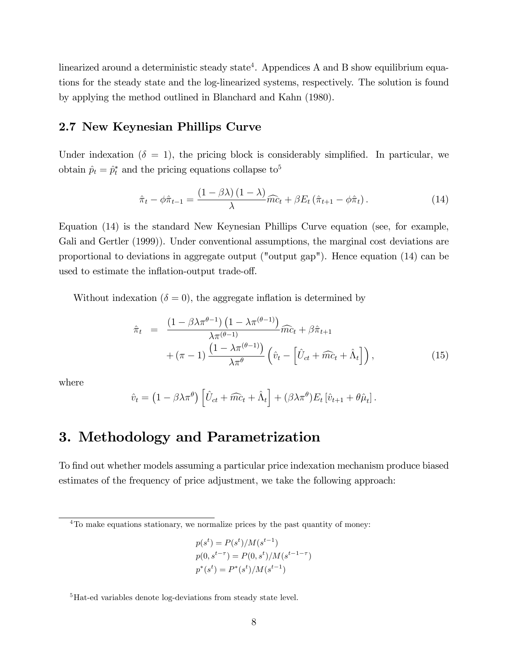linearized around a deterministic steady state<sup>4</sup>. Appendices A and B show equilibrium equations for the steady state and the log-linearized systems, respectively. The solution is found by applying the method outlined in Blanchard and Kahn (1980).

#### 2.7 New Keynesian Phillips Curve

Under indexation ( $\delta = 1$ ), the pricing block is considerably simplified. In particular, we obtain  $\hat{p}_t = \hat{p}_t^*$  and the pricing equations collapse to<sup>5</sup>

$$
\hat{\pi}_t - \phi \hat{\pi}_{t-1} = \frac{(1 - \beta \lambda)(1 - \lambda)}{\lambda} \widehat{mc}_t + \beta E_t (\hat{\pi}_{t+1} - \phi \hat{\pi}_t).
$$
\n(14)

Equation (14) is the standard New Keynesian Phillips Curve equation (see, for example, Gali and Gertler (1999)). Under conventional assumptions, the marginal cost deviations are proportional to deviations in aggregate output ("output gap"). Hence equation (14) can be used to estimate the inflation-output trade-off.

Without indexation ( $\delta = 0$ ), the aggregate inflation is determined by

$$
\hat{\pi}_t = \frac{\left(1 - \beta \lambda \pi^{\theta - 1}\right) \left(1 - \lambda \pi^{(\theta - 1)}\right)}{\lambda \pi^{(\theta - 1)}} \widehat{mc}_t + \beta \hat{\pi}_{t+1} + (\pi - 1) \frac{\left(1 - \lambda \pi^{(\theta - 1)}\right)}{\lambda \pi^{\theta}} \left(\hat{v}_t - \left[\hat{U}_{ct} + \widehat{mc}_t + \hat{\Lambda}_t\right]\right),\tag{15}
$$

where

$$
\hat{v}_t = (1 - \beta \lambda \pi^{\theta}) \left[ \hat{U}_{ct} + \widehat{mc}_t + \hat{\Lambda}_t \right] + (\beta \lambda \pi^{\theta}) E_t \left[ \hat{v}_{t+1} + \theta \hat{\mu}_t \right].
$$

## 3. Methodology and Parametrization

To find out whether models assuming a particular price indexation mechanism produce biased estimates of the frequency of price adjustment, we take the following approach:

$$
p(st) = P(st)/M(st-1)
$$
  
\n
$$
p(0, st-\tau) = P(0, st)/M(st-1-\tau)
$$
  
\n
$$
p^*(st) = P^*(st)/M(st-1)
$$

<sup>&</sup>lt;sup>4</sup>To make equations stationary, we normalize prices by the past quantity of money:

<sup>&</sup>lt;sup>5</sup>Hat-ed variables denote log-deviations from steady state level.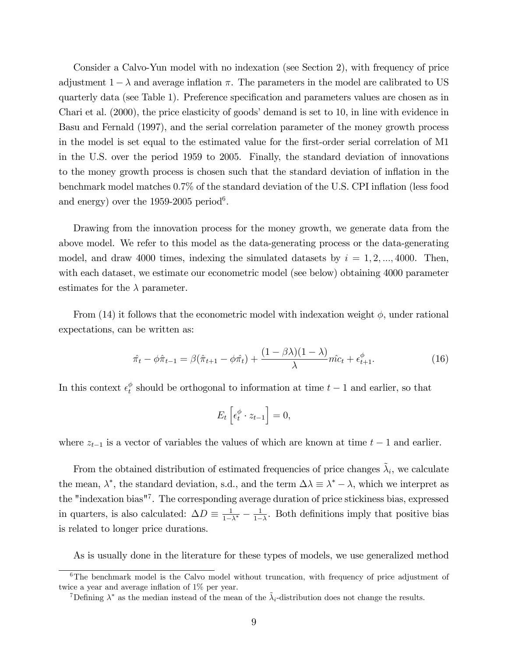Consider a Calvo-Yun model with no indexation (see Section 2), with frequency of price adjustment  $1 - \lambda$  and average inflation  $\pi$ . The parameters in the model are calibrated to US quarterly data (see Table 1). Preference specification and parameters values are chosen as in Chari et al.  $(2000)$ , the price elasticity of goods' demand is set to 10, in line with evidence in Basu and Fernald (1997), and the serial correlation parameter of the money growth process in the model is set equal to the estimated value for the first-order serial correlation of M1 in the U.S. over the period 1959 to 2005. Finally, the standard deviation of innovations to the money growth process is chosen such that the standard deviation of ináation in the benchmark model matches 0.7% of the standard deviation of the U.S. CPI inflation (less food and energy) over the  $1959-2005$  period<sup>6</sup>.

Drawing from the innovation process for the money growth, we generate data from the above model. We refer to this model as the data-generating process or the data-generating model, and draw 4000 times, indexing the simulated datasets by  $i = 1, 2, ..., 4000$ . Then, with each dataset, we estimate our econometric model (see below) obtaining 4000 parameter estimates for the  $\lambda$  parameter.

From (14) it follows that the econometric model with indexation weight  $\phi$ , under rational expectations, can be written as:

$$
\hat{\pi}_t - \phi \hat{\pi}_{t-1} = \beta (\hat{\pi}_{t+1} - \phi \hat{\pi}_t) + \frac{(1 - \beta \lambda)(1 - \lambda)}{\lambda} \hat{mc}_t + \epsilon_{t+1}^{\phi}.
$$
\n(16)

In this context  $\epsilon_t^{\phi}$  $t<sup>\varphi</sup>$  should be orthogonal to information at time  $t-1$  and earlier, so that

$$
E_t\left[\epsilon_t^{\phi} \cdot z_{t-1}\right] = 0,
$$

where  $z_{t-1}$  is a vector of variables the values of which are known at time  $t - 1$  and earlier.

From the obtained distribution of estimated frequencies of price changes  $\tilde{\lambda}_i$ , we calculate the mean,  $\lambda^*$ , the standard deviation, s.d., and the term  $\Delta\lambda \equiv \lambda^* - \lambda$ , which we interpret as the "indexation bias"<sup>7</sup> . The corresponding average duration of price stickiness bias, expressed in quarters, is also calculated:  $\Delta D \equiv \frac{1}{1-\Delta}$  $\frac{1}{1-\lambda^*} - \frac{1}{1-}$  $\frac{1}{1-\lambda}$ . Both definitions imply that positive bias is related to longer price durations.

As is usually done in the literature for these types of models, we use generalized method

<sup>&</sup>lt;sup>6</sup>The benchmark model is the Calvo model without truncation, with frequency of price adjustment of twice a year and average inflation of  $1\%$  per year.

<sup>&</sup>lt;sup>7</sup>Defining  $\lambda^*$  as the median instead of the mean of the  $\tilde{\lambda}_i$ -distribution does not change the results.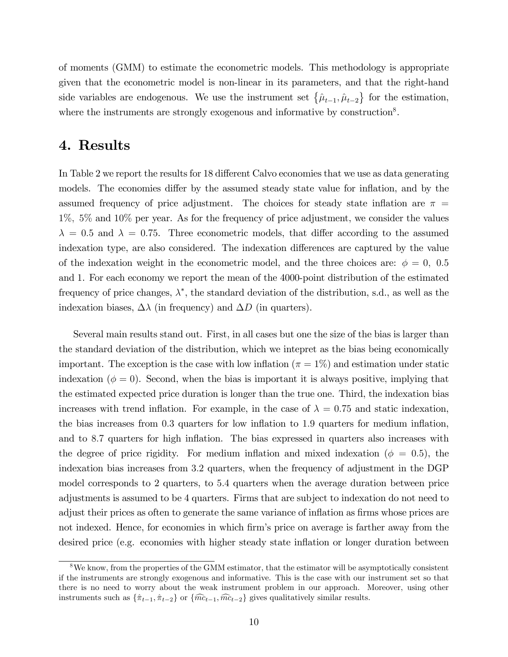of moments (GMM) to estimate the econometric models. This methodology is appropriate given that the econometric model is non-linear in its parameters, and that the right-hand side variables are endogenous. We use the instrument set  $\{\hat{\mu}_{t-1}, \hat{\mu}_{t-2}\}\)$  for the estimation, where the instruments are strongly exogenous and informative by construction<sup>8</sup>.

#### 4. Results

In Table 2 we report the results for 18 different Calvo economies that we use as data generating models. The economies differ by the assumed steady state value for inflation, and by the assumed frequency of price adjustment. The choices for steady state inflation are  $\pi$  = 1%; 5% and 10% per year. As for the frequency of price adjustment, we consider the values  $\lambda = 0.5$  and  $\lambda = 0.75$ . Three econometric models, that differ according to the assumed indexation type, are also considered. The indexation differences are captured by the value of the indexation weight in the econometric model, and the three choices are:  $\phi = 0$ , 0.5 and 1. For each economy we report the mean of the 4000-point distribution of the estimated frequency of price changes,  $\lambda^*$ , the standard deviation of the distribution, s.d., as well as the indexation biases,  $\Delta\lambda$  (in frequency) and  $\Delta D$  (in quarters).

Several main results stand out. First, in all cases but one the size of the bias is larger than the standard deviation of the distribution, which we intepret as the bias being economically important. The exception is the case with low inflation ( $\pi = 1\%$ ) and estimation under static indexation ( $\phi = 0$ ). Second, when the bias is important it is always positive, implying that the estimated expected price duration is longer than the true one. Third, the indexation bias increases with trend inflation. For example, in the case of  $\lambda = 0.75$  and static indexation, the bias increases from 0.3 quarters for low inflation to 1.9 quarters for medium inflation, and to 8.7 quarters for high inflation. The bias expressed in quarters also increases with the degree of price rigidity. For medium inflation and mixed indexation ( $\phi = 0.5$ ), the indexation bias increases from 3:2 quarters, when the frequency of adjustment in the DGP model corresponds to 2 quarters, to 5:4 quarters when the average duration between price adjustments is assumed to be 4 quarters. Firms that are subject to indexation do not need to adjust their prices as often to generate the same variance of inflation as firms whose prices are not indexed. Hence, for economies in which firm's price on average is farther away from the desired price (e.g. economies with higher steady state inflation or longer duration between

<sup>&</sup>lt;sup>8</sup>We know, from the properties of the GMM estimator, that the estimator will be asymptotically consistent if the instruments are strongly exogenous and informative. This is the case with our instrument set so that there is no need to worry about the weak instrument problem in our approach. Moreover, using other instruments such as  $\{\hat{\pi}_{t-1}, \hat{\pi}_{t-2}\}$  or  $\{\hat{mc}_{t-1}, \hat{mc}_{t-2}\}$  gives qualitatively similar results.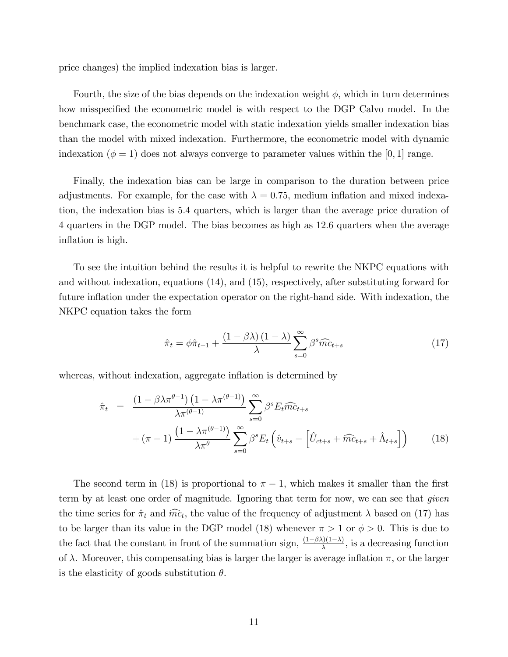price changes) the implied indexation bias is larger.

Fourth, the size of the bias depends on the indexation weight  $\phi$ , which in turn determines how misspecified the econometric model is with respect to the DGP Calvo model. In the benchmark case, the econometric model with static indexation yields smaller indexation bias than the model with mixed indexation. Furthermore, the econometric model with dynamic indexation ( $\phi = 1$ ) does not always converge to parameter values within the [0, 1] range.

Finally, the indexation bias can be large in comparison to the duration between price adjustments. For example, for the case with  $\lambda = 0.75$ , medium inflation and mixed indexation, the indexation bias is 5:4 quarters, which is larger than the average price duration of 4 quarters in the DGP model. The bias becomes as high as 12:6 quarters when the average inflation is high.

To see the intuition behind the results it is helpful to rewrite the NKPC equations with and without indexation, equations (14), and (15), respectively, after substituting forward for future inflation under the expectation operator on the right-hand side. With indexation, the NKPC equation takes the form

$$
\hat{\pi}_t = \phi \hat{\pi}_{t-1} + \frac{(1 - \beta \lambda)(1 - \lambda)}{\lambda} \sum_{s=0}^{\infty} \beta^s \widehat{mc}_{t+s} \tag{17}
$$

whereas, without indexation, aggregate inflation is determined by

$$
\hat{\pi}_t = \frac{\left(1 - \beta \lambda \pi^{\theta - 1}\right) \left(1 - \lambda \pi^{(\theta - 1)}\right)}{\lambda \pi^{(\theta - 1)}} \sum_{s=0}^{\infty} \beta^s E_t \widehat{mc}_{t+s} \n+ (\pi - 1) \frac{\left(1 - \lambda \pi^{(\theta - 1)}\right)}{\lambda \pi^{\theta}} \sum_{s=0}^{\infty} \beta^s E_t \left(\hat{v}_{t+s} - \left[\hat{U}_{ct+s} + \widehat{mc}_{t+s} + \hat{\Lambda}_{t+s}\right]\right)
$$
\n(18)

The second term in (18) is proportional to  $\pi - 1$ , which makes it smaller than the first term by at least one order of magnitude. Ignoring that term for now, we can see that *given* the time series for  $\hat{\pi}_t$  and  $\hat{mc}_t$ , the value of the frequency of adjustment  $\lambda$  based on (17) has to be larger than its value in the DGP model (18) whenever  $\pi > 1$  or  $\phi > 0$ . This is due to the fact that the constant in front of the summation sign,  $\frac{(1-\beta\lambda)(1-\lambda)}{\lambda}$ , is a decreasing function of  $\lambda$ . Moreover, this compensating bias is larger the larger is average inflation  $\pi$ , or the larger is the elasticity of goods substitution  $\theta$ .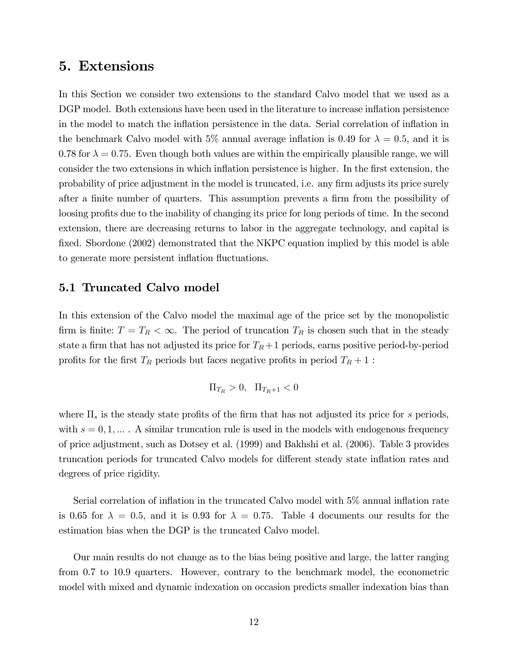### 5. Extensions

In this Section we consider two extensions to the standard Calvo model that we used as a DGP model. Both extensions have been used in the literature to increase inflation persistence in the model to match the inflation persistence in the data. Serial correlation of inflation in the benchmark Calvo model with 5% annual average inflation is 0.49 for  $\lambda = 0.5$ , and it is 0.78 for  $\lambda = 0.75$ . Even though both values are within the empirically plausible range, we will consider the two extensions in which inflation persistence is higher. In the first extension, the probability of price adjustment in the model is truncated, i.e. any firm adjusts its price surely after a finite number of quarters. This assumption prevents a firm from the possibility of loosing profits due to the inability of changing its price for long periods of time. In the second extension, there are decreasing returns to labor in the aggregate technology, and capital is fixed. Sbordone (2002) demonstrated that the NKPC equation implied by this model is able to generate more persistent inflation fluctuations.

#### 5.1 Truncated Calvo model

In this extension of the Calvo model the maximal age of the price set by the monopolistic firm is finite:  $T = T_R < \infty$ . The period of truncation  $T_R$  is chosen such that in the steady state a firm that has not adjusted its price for  $T_R + 1$  periods, earns positive period-by-period profits for the first  $T_R$  periods but faces negative profits in period  $T_R + 1$ :

$$
\Pi_{T_R}>0,\ \Pi_{T_R+1}<0
$$

where  $\Pi_s$  is the steady state profits of the firm that has not adjusted its price for s periods, with  $s = 0, 1, \ldots$ . A similar truncation rule is used in the models with endogenous frequency of price adjustment, such as Dotsey et al. (1999) and Bakhshi et al. (2006). Table 3 provides truncation periods for truncated Calvo models for different steady state inflation rates and degrees of price rigidity.

Serial correlation of inflation in the truncated Calvo model with  $5\%$  annual inflation rate is 0.65 for  $\lambda = 0.5$ , and it is 0.93 for  $\lambda = 0.75$ . Table 4 documents our results for the estimation bias when the DGP is the truncated Calvo model.

Our main results do not change as to the bias being positive and large, the latter ranging from 0.7 to 10.9 quarters. However, contrary to the benchmark model, the econometric model with mixed and dynamic indexation on occasion predicts smaller indexation bias than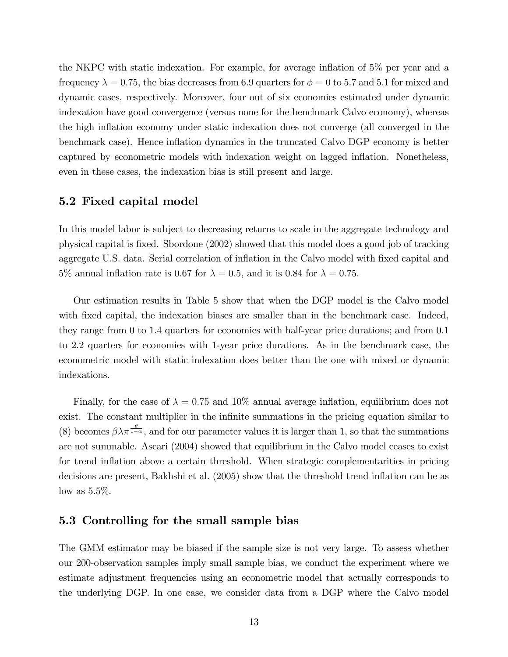the NKPC with static indexation. For example, for average inflation of  $5\%$  per year and a frequency  $\lambda = 0.75$ , the bias decreases from 6.9 quarters for  $\phi = 0$  to 5.7 and 5.1 for mixed and dynamic cases, respectively. Moreover, four out of six economies estimated under dynamic indexation have good convergence (versus none for the benchmark Calvo economy), whereas the high inflation economy under static indexation does not converge (all converged in the benchmark case). Hence inflation dynamics in the truncated Calvo DGP economy is better captured by econometric models with indexation weight on lagged inflation. Nonetheless, even in these cases, the indexation bias is still present and large.

#### 5.2 Fixed capital model

In this model labor is subject to decreasing returns to scale in the aggregate technology and physical capital is Öxed. Sbordone (2002) showed that this model does a good job of tracking aggregate U.S. data. Serial correlation of inflation in the Calvo model with fixed capital and 5% annual inflation rate is 0.67 for  $\lambda = 0.5$ , and it is 0.84 for  $\lambda = 0.75$ .

Our estimation results in Table 5 show that when the DGP model is the Calvo model with fixed capital, the indexation biases are smaller than in the benchmark case. Indeed, they range from 0 to 1.4 quarters for economies with half-year price durations; and from 0.1 to 2.2 quarters for economies with 1-year price durations. As in the benchmark case, the econometric model with static indexation does better than the one with mixed or dynamic indexations.

Finally, for the case of  $\lambda = 0.75$  and 10% annual average inflation, equilibrium does not exist. The constant multiplier in the infinite summations in the pricing equation similar to (8) becomes  $\beta \lambda \pi^{\frac{\theta}{1-\alpha}}$ , and for our parameter values it is larger than 1, so that the summations are not summable. Ascari (2004) showed that equilibrium in the Calvo model ceases to exist for trend inflation above a certain threshold. When strategic complementarities in pricing decisions are present, Bakhshi et al. (2005) show that the threshold trend inflation can be as low as  $5.5\%$ .

#### 5.3 Controlling for the small sample bias

The GMM estimator may be biased if the sample size is not very large. To assess whether our 200-observation samples imply small sample bias, we conduct the experiment where we estimate adjustment frequencies using an econometric model that actually corresponds to the underlying DGP. In one case, we consider data from a DGP where the Calvo model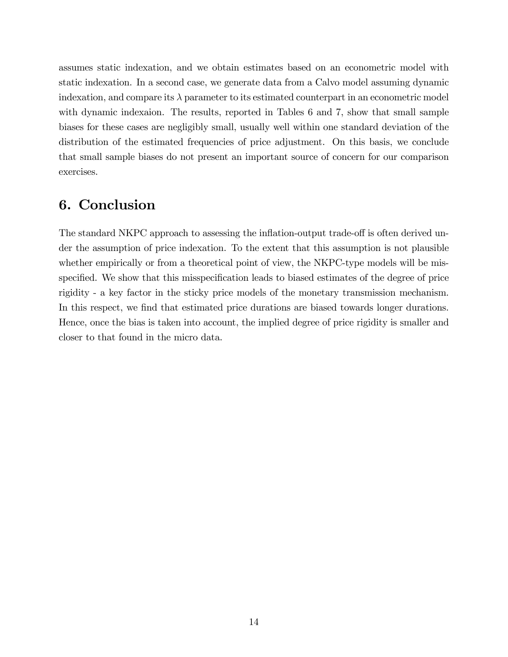assumes static indexation, and we obtain estimates based on an econometric model with static indexation. In a second case, we generate data from a Calvo model assuming dynamic indexation, and compare its  $\lambda$  parameter to its estimated counterpart in an econometric model with dynamic indexaion. The results, reported in Tables 6 and 7, show that small sample biases for these cases are negligibly small, usually well within one standard deviation of the distribution of the estimated frequencies of price adjustment. On this basis, we conclude that small sample biases do not present an important source of concern for our comparison exercises.

## 6. Conclusion

The standard NKPC approach to assessing the inflation-output trade-off is often derived under the assumption of price indexation. To the extent that this assumption is not plausible whether empirically or from a theoretical point of view, the NKPC-type models will be misspecified. We show that this misspecification leads to biased estimates of the degree of price rigidity - a key factor in the sticky price models of the monetary transmission mechanism. In this respect, we find that estimated price durations are biased towards longer durations. Hence, once the bias is taken into account, the implied degree of price rigidity is smaller and closer to that found in the micro data.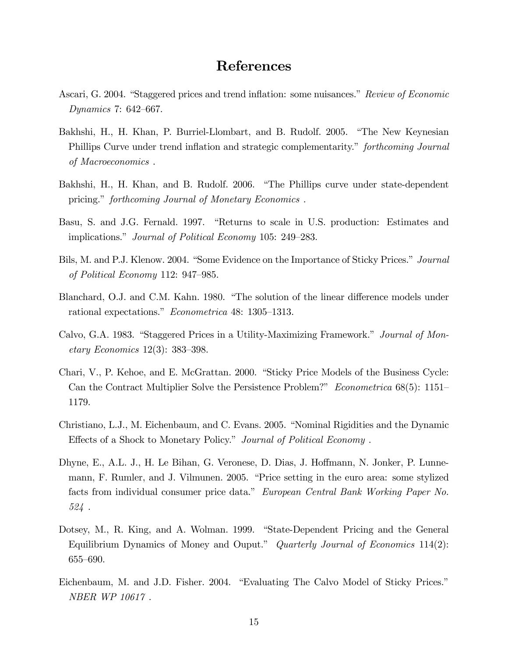### References

- Ascari, G. 2004. "Staggered prices and trend inflation: some nuisances." Review of Economic Dynamics 7:  $642-667$ .
- Bakhshi, H., H. Khan, P. Burriel-Llombart, and B. Rudolf. 2005. "The New Keynesian Phillips Curve under trend inflation and strategic complementarity." *forthcoming Journal* of Macroeconomics .
- Bakhshi, H., H. Khan, and B. Rudolf. 2006. "The Phillips curve under state-dependent pricing." forthcoming Journal of Monetary Economics.
- Basu, S. and J.G. Fernald. 1997. "Returns to scale in U.S. production: Estimates and implications." Journal of Political Economy 105: 249–283.
- Bils, M. and P.J. Klenow. 2004. "Some Evidence on the Importance of Sticky Prices." Journal of Political Economy 112:  $947-985$ .
- Blanchard, O.J. and C.M. Kahn. 1980. "The solution of the linear difference models under rational expectations." *Econometrica* 48: 1305–1313.
- Calvo, G.A. 1983. "Staggered Prices in a Utility-Maximizing Framework." Journal of Mon*etary Economics* 12(3): 383–398.
- Chari, V., P. Kehoe, and E. McGrattan. 2000. "Sticky Price Models of the Business Cycle: Can the Contract Multiplier Solve the Persistence Problem?" Econometrica  $68(5)$ : 1151– 1179.
- Christiano, L.J., M. Eichenbaum, and C. Evans. 2005. "Nominal Rigidities and the Dynamic Effects of a Shock to Monetary Policy." Journal of Political Economy.
- Dhyne, E., A.L. J., H. Le Bihan, G. Veronese, D. Dias, J. Hoffmann, N. Jonker, P. Lunnemann, F. Rumler, and J. Vilmunen. 2005. "Price setting in the euro area: some stylized facts from individual consumer price data." European Central Bank Working Paper No. 524 .
- Dotsey, M., R. King, and A. Wolman. 1999. "State-Dependent Pricing and the General Equilibrium Dynamics of Money and Ouput." Quarterly Journal of Economics  $114(2)$ : 655-690.
- Eichenbaum, M. and J.D. Fisher. 2004. "Evaluating The Calvo Model of Sticky Prices." NBER WP 10617 .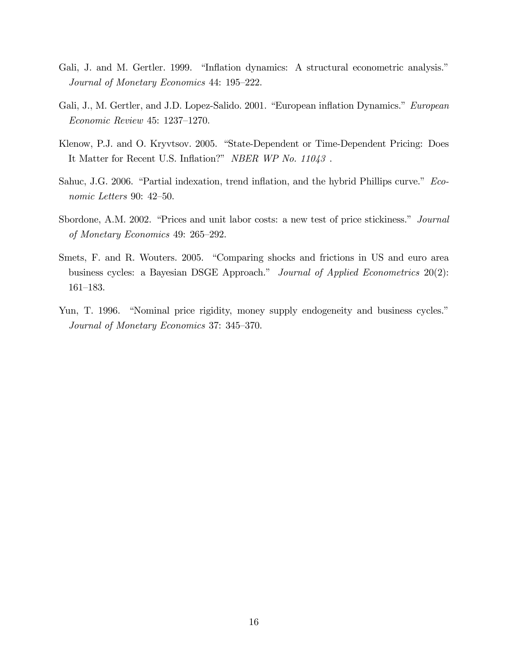- Gali, J. and M. Gertler. 1999. "Inflation dynamics: A structural econometric analysis." Journal of Monetary Economics 44: 195–222.
- Gali, J., M. Gertler, and J.D. Lopez-Salido. 2001. "European inflation Dynamics." European  $Economic Review 45: 1237–1270.$
- Klenow, P.J. and O. Kryvtsov. 2005. "State-Dependent or Time-Dependent Pricing: Does It Matter for Recent U.S. Inflation?" NBER WP No. 11043.
- Sahuc, J.G. 2006. "Partial indexation, trend inflation, and the hybrid Phillips curve." Economic Letters 90:  $42-50$ .
- Sbordone, A.M. 2002. "Prices and unit labor costs: a new test of price stickiness." *Journal* of Monetary Economics 49:  $265-292$ .
- Smets, F. and R. Wouters. 2005. "Comparing shocks and frictions in US and euro area business cycles: a Bayesian DSGE Approach." Journal of Applied Econometrics  $20(2)$ :  $161 - 183.$
- Yun, T. 1996. "Nominal price rigidity, money supply endogeneity and business cycles." Journal of Monetary Economics 37: 345–370.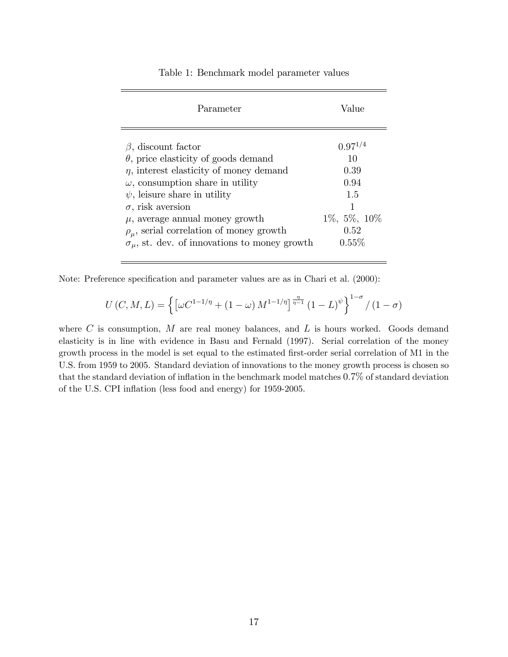| Parameter                                                                                                                                                                                                                                                                                                                                                                                    | Value                                                                                  |
|----------------------------------------------------------------------------------------------------------------------------------------------------------------------------------------------------------------------------------------------------------------------------------------------------------------------------------------------------------------------------------------------|----------------------------------------------------------------------------------------|
| $\beta$ , discount factor<br>$\theta$ , price elasticity of goods demand<br>$\eta$ , interest elasticity of money demand<br>$\omega$ , consumption share in utility<br>$\psi$ , leisure share in utility<br>$\sigma$ , risk aversion<br>$\mu$ , average annual money growth<br>$\rho_{\mu}$ , serial correlation of money growth<br>$\sigma_{\mu}$ , st. dev. of innovations to money growth | $0.97^{1/4}$<br>10<br>0.39<br>0.94<br>1.5<br>1<br>$1\%, 5\%, 10\%$<br>0.52<br>$0.55\%$ |
|                                                                                                                                                                                                                                                                                                                                                                                              |                                                                                        |

Table 1: Benchmark model parameter values

Note: Preference specification and parameter values are as in Chari et al. (2000):

$$
U(C, M, L) = \left\{ \left[ \omega C^{1 - 1/\eta} + (1 - \omega) M^{1 - 1/\eta} \right]^{\frac{\eta}{\eta - 1}} (1 - L)^{\psi} \right\}^{1 - \sigma} / (1 - \sigma)
$$

where  $C$  is consumption,  $M$  are real money balances, and  $L$  is hours worked. Goods demand elasticity is in line with evidence in Basu and Fernald (1997). Serial correlation of the money growth process in the model is set equal to the estimated first-order serial correlation of M1 in the U.S. from 1959 to 2005. Standard deviation of innovations to the money growth process is chosen so that the standard deviation of inflation in the benchmark model matches  $0.7\%$  of standard deviation of the U.S. CPI inflation (less food and energy) for 1959-2005.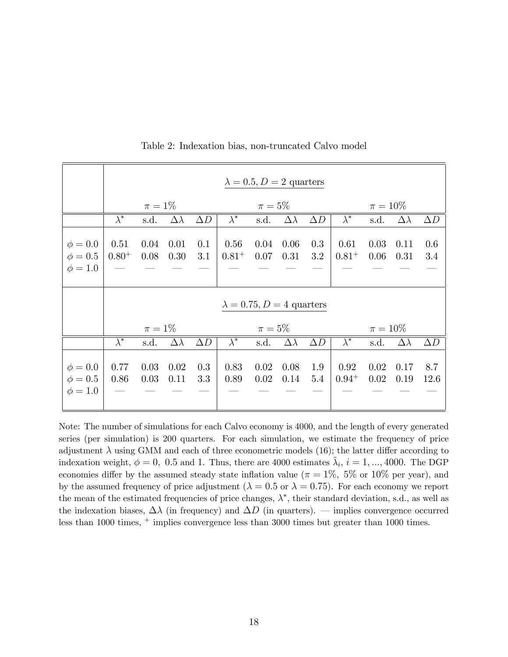|              | $\lambda = 0.5, D = 2$ quarters  |           |                 |            |                        |           |                 |            |                        |      |                 |            |  |
|--------------|----------------------------------|-----------|-----------------|------------|------------------------|-----------|-----------------|------------|------------------------|------|-----------------|------------|--|
|              |                                  | $\pi=1\%$ |                 |            |                        | $\pi=5\%$ |                 |            | $\pi = 10\%$           |      |                 |            |  |
|              | $\lambda^*$                      | s.d.      | $\Delta\lambda$ | $\Delta D$ | $\overline{\lambda^*}$ | s.d.      | $\Delta\lambda$ | $\Delta D$ | $\overline{\lambda^*}$ | s.d. | $\Delta\lambda$ | $\Delta D$ |  |
| $\phi = 0.0$ | 0.51                             | 0.04      | 0.01            | 0.1        | 0.56                   | 0.04      | 0.06            | 0.3        | 0.61                   | 0.03 | 0.11            | 0.6        |  |
| $\phi = 0.5$ | $0.80^{+}$                       | 0.08      | 0.30            | 3.1        | $0.81^{+}$             | 0.07      | 0.31            | 3.2        | $0.81^{+}$             | 0.06 | 0.31            | 3.4        |  |
| $\phi = 1.0$ |                                  |           |                 |            |                        |           |                 |            |                        |      |                 |            |  |
|              |                                  |           |                 |            |                        |           |                 |            |                        |      |                 |            |  |
|              |                                  |           |                 |            |                        |           |                 |            |                        |      |                 |            |  |
|              | $\lambda = 0.75, D = 4$ quarters |           |                 |            |                        |           |                 |            |                        |      |                 |            |  |
|              |                                  | $\pi=1\%$ |                 |            |                        | $\pi=5\%$ |                 |            | $\pi = 10\%$           |      |                 |            |  |
|              | $\lambda^*$                      | s.d.      | $\Delta\lambda$ | $\Delta D$ | $\lambda^*$            | s.d.      | $\Delta\lambda$ | $\Delta D$ | $\lambda^*$            | s.d. | $\Delta\lambda$ | $\Delta D$ |  |
|              |                                  |           |                 |            |                        |           |                 |            |                        |      |                 |            |  |
| $\phi = 0.0$ | 0.77                             | 0.03      | 0.02            | 0.3        | 0.83                   | 0.02      | 0.08            | 1.9        | 0.92                   | 0.02 | 0.17            | 8.7        |  |
| $\phi = 0.5$ | 0.86                             | 0.03      | 0.11            | 3.3        | 0.89                   | 0.02      | 0.14            | 5.4        | $0.94^{+}$             | 0.02 | 0.19            | 12.6       |  |
| $\phi = 1.0$ |                                  |           |                 |            |                        |           |                 |            |                        |      |                 |            |  |
|              |                                  |           |                 |            |                        |           |                 |            |                        |      |                 |            |  |

Table 2: Indexation bias, non-truncated Calvo model

Note: The number of simulations for each Calvo economy is 4000, and the length of every generated series (per simulation) is 200 quarters. For each simulation, we estimate the frequency of price adjustment  $\lambda$  using GMM and each of three econometric models (16); the latter differ according to indexation weight,  $\phi = 0$ , 0.5 and 1. Thus, there are 4000 estimates  $\tilde{\lambda}_i$ ,  $i = 1, ..., 4000$ . The DGP economies differ by the assumed steady state inflation value ( $\pi = 1\%$ , 5% or 10% per year), and by the assumed frequency of price adjustment ( $\lambda = 0.5$  or  $\lambda = 0.75$ ). For each economy we report the mean of the estimated frequencies of price changes,  $\lambda^*$ , their standard deviation, s.d., as well as the indexation biases,  $\Delta\lambda$  (in frequency) and  $\Delta D$  (in quarters). – implies convergence occurred less than 1000 times, <sup>+</sup> implies convergence less than 3000 times but greater than 1000 times.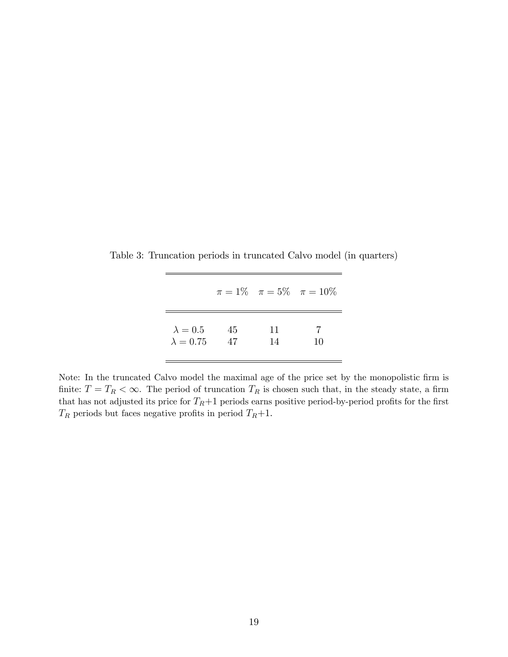|                  |      |    | $\pi = 1\%$ $\pi = 5\%$ $\pi = 10\%$ |
|------------------|------|----|--------------------------------------|
| $\lambda = 0.5$  | 45   | 11 | 10                                   |
| $\lambda = 0.75$ | - 47 | 14 |                                      |

Table 3: Truncation periods in truncated Calvo model (in quarters)

Note: In the truncated Calvo model the maximal age of the price set by the monopolistic firm is finite:  $T = T_R < \infty$ . The period of truncation  $T_R$  is chosen such that, in the steady state, a firm that has not adjusted its price for  $T_R+1$  periods earns positive period-by-period profits for the first  $T_R$  periods but faces negative profits in period  $T_R+1$ .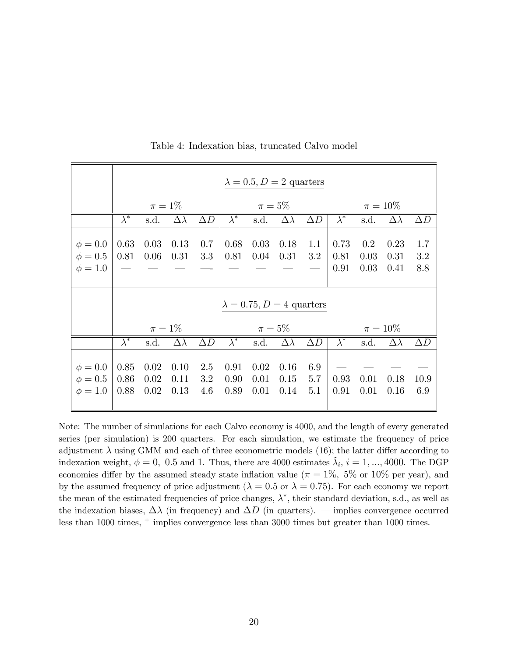|              | $\lambda = 0.5, D = 2$ quarters  |           |                 |            |                        |           |                  |            |                        |      |                 |            |  |
|--------------|----------------------------------|-----------|-----------------|------------|------------------------|-----------|------------------|------------|------------------------|------|-----------------|------------|--|
|              |                                  | $\pi=1\%$ |                 |            |                        | $\pi=5\%$ |                  |            | $\pi = 10\%$           |      |                 |            |  |
|              | $\lambda^*$                      | s.d.      | $\Delta\lambda$ | $\Delta D$ | $\lambda^*$            | s.d.      | $\Delta\lambda$  | $\Delta D$ | $\lambda^*$            | s.d. | $\Delta\lambda$ | $\Delta D$ |  |
|              |                                  |           |                 |            |                        |           |                  |            |                        |      |                 |            |  |
| $\phi = 0.0$ | 0.63                             | 0.03      | 0.13            | 0.7        | 0.68                   | 0.03      | 0.18             | 1.1        | 0.73                   | 0.2  | 0.23            | 1.7        |  |
| $\phi = 0.5$ | 0.81                             | 0.06      | 0.31            | 3.3        | 0.81                   | 0.04      | 0.31             | 3.2        | 0.81                   | 0.03 | 0.31            | 3.2        |  |
| $\phi = 1.0$ |                                  |           |                 |            |                        |           |                  |            | 0.91                   | 0.03 | 0.41            | 8.8        |  |
|              |                                  |           |                 |            |                        |           |                  |            |                        |      |                 |            |  |
|              | $\lambda = 0.75, D = 4$ quarters |           |                 |            |                        |           |                  |            |                        |      |                 |            |  |
|              |                                  | $\pi=1\%$ |                 |            | $\pi=5\%$              |           |                  |            | $\pi = 10\%$           |      |                 |            |  |
|              | $\overline{\lambda^*}$           | s.d.      | $\Delta\lambda$ | $\Delta D$ | $\overline{\lambda^*}$ | s.d.      | $\Delta \lambda$ | $\Delta D$ | $\overline{\lambda^*}$ | s.d. | $\Delta\lambda$ | $\Delta D$ |  |
|              |                                  |           |                 |            |                        |           |                  |            |                        |      |                 |            |  |
| $\phi = 0.0$ | 0.85                             | 0.02      | 0.10            | 2.5        | 0.91                   | 0.02      | 0.16             | 6.9        |                        |      |                 |            |  |
| $\phi = 0.5$ | 0.86                             | 0.02      | 0.11            | 3.2        | 0.90                   | 0.01      | 0.15             | 5.7        | 0.93                   | 0.01 | 0.18            | 10.9       |  |
| $\phi = 1.0$ | 0.88                             | 0.02      | 0.13            | 4.6        | 0.89                   | 0.01      | 0.14             | 5.1        | 0.91                   | 0.01 | 0.16            | 6.9        |  |
|              |                                  |           |                 |            |                        |           |                  |            |                        |      |                 |            |  |

Table 4: Indexation bias, truncated Calvo model

Note: The number of simulations for each Calvo economy is 4000, and the length of every generated series (per simulation) is 200 quarters. For each simulation, we estimate the frequency of price adjustment  $\lambda$  using GMM and each of three econometric models (16); the latter differ according to indexation weight,  $\phi = 0$ , 0.5 and 1. Thus, there are 4000 estimates  $\tilde{\lambda}_i$ ,  $i = 1, ..., 4000$ . The DGP economies differ by the assumed steady state inflation value ( $\pi = 1\%$ , 5% or 10% per year), and by the assumed frequency of price adjustment ( $\lambda = 0.5$  or  $\lambda = 0.75$ ). For each economy we report the mean of the estimated frequencies of price changes,  $\lambda^*$ , their standard deviation, s.d., as well as the indexation biases,  $\Delta\lambda$  (in frequency) and  $\Delta D$  (in quarters). – implies convergence occurred less than 1000 times, <sup>+</sup> implies convergence less than 3000 times but greater than 1000 times.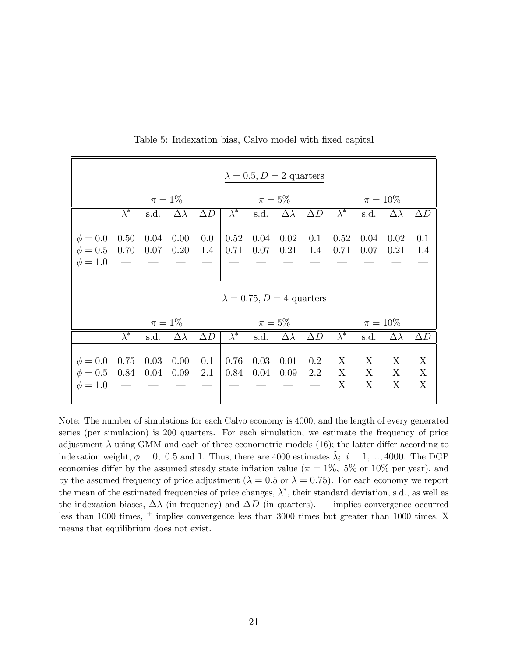|                                              | $\lambda = 0.5, D = 2$ quarters                               |              |                 |            |                        |              |                 |                |                        |                        |                        |             |  |
|----------------------------------------------|---------------------------------------------------------------|--------------|-----------------|------------|------------------------|--------------|-----------------|----------------|------------------------|------------------------|------------------------|-------------|--|
|                                              |                                                               | $\pi=1\%$    |                 |            |                        | $\pi=5\%$    |                 |                | $\pi = 10\%$           |                        |                        |             |  |
|                                              | $\overline{\lambda^*}$                                        | s.d.         | $\Delta\lambda$ | $\Delta D$ | $\overline{\lambda^*}$ | s.d.         | $\Delta\lambda$ | $\Delta D$     | $\overline{\lambda^*}$ | s.d.                   | $\Delta\lambda$        | $\Delta D$  |  |
| $\phi = 0.0$<br>$\phi = 0.5$<br>$\phi = 1.0$ | 0.50<br>0.70                                                  | 0.04<br>0.07 | 0.00<br>0.20    | 0.0<br>1.4 | 0.52<br>0.71           | 0.04<br>0.07 | 0.02<br>0.21    | 0.1<br>1.4     | 0.52<br>0.71           | 0.04<br>0.07           | 0.02<br>0.21           | 0.1<br>1.4  |  |
|                                              | $\lambda = 0.75, D = 4$ quarters<br>$\pi=5\%$<br>$\pi = 10\%$ |              |                 |            |                        |              |                 |                |                        |                        |                        |             |  |
|                                              | $\pi=1\%$                                                     |              |                 |            |                        |              |                 |                |                        |                        |                        |             |  |
|                                              | $\lambda^*$                                                   | s.d.         | $\Delta\lambda$ | $\Delta D$ | $\lambda^*$            | s.d.         | $\Delta\lambda$ | $\Delta D$     | $\lambda^*$            | s.d.                   | $\Delta\lambda$        | $\Delta D$  |  |
| $\phi = 0.0$<br>$\phi = 0.5$<br>$\phi = 1.0$ | 0.75<br>0.84                                                  | 0.03<br>0.04 | 0.00<br>0.09    | 0.1<br>2.1 | 0.76<br>0.84           | 0.03<br>0.04 | 0.01<br>0.09    | $0.2\,$<br>2.2 | X<br>$\mathbf{X}$<br>X | X<br>$\mathbf{X}$<br>X | X<br>$\mathbf{X}$<br>X | X<br>X<br>X |  |

Table 5: Indexation bias, Calvo model with fixed capital

Note: The number of simulations for each Calvo economy is 4000, and the length of every generated series (per simulation) is 200 quarters. For each simulation, we estimate the frequency of price adjustment  $\lambda$  using GMM and each of three econometric models (16); the latter differ according to indexation weight,  $\phi = 0$ , 0.5 and 1. Thus, there are 4000 estimates  $\tilde{\lambda}_i$ ,  $i = 1, ..., 4000$ . The DGP economies differ by the assumed steady state inflation value ( $\pi = 1\%$ , 5% or 10% per year), and by the assumed frequency of price adjustment ( $\lambda = 0.5$  or  $\lambda = 0.75$ ). For each economy we report the mean of the estimated frequencies of price changes,  $\lambda^*$ , their standard deviation, s.d., as well as the indexation biases,  $\Delta\lambda$  (in frequency) and  $\Delta D$  (in quarters). – implies convergence occurred less than 1000 times, <sup>+</sup> implies convergence less than 3000 times but greater than 1000 times, X means that equilibrium does not exist.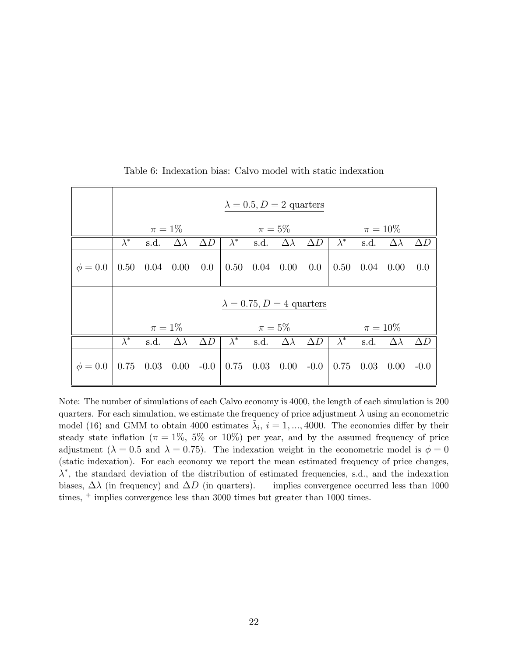|              | $\lambda = 0.5, D = 2$ quarters  |             |                 |            |             |                              |                      |            |              |      |                 |            |  |
|--------------|----------------------------------|-------------|-----------------|------------|-------------|------------------------------|----------------------|------------|--------------|------|-----------------|------------|--|
|              |                                  | $\pi=1\%$   |                 |            |             | $\pi=5\%$                    |                      |            | $\pi = 10\%$ |      |                 |            |  |
|              | $\overline{\lambda}^*$           | s.d.        | $\Delta\lambda$ | $\Delta D$ | $\lambda^*$ | s.d.                         | $\Delta\lambda$      | $\Delta D$ | $\lambda^*$  | s.d. | $\Delta\lambda$ | $\Delta D$ |  |
| $\phi = 0.0$ | 0.50                             | $0.04$ 0.00 |                 | 0.0        |             | $0.50 \quad 0.04 \quad 0.00$ |                      | 0.0        | 0.50         | 0.04 | 0.00            | 0.0        |  |
|              | $\lambda = 0.75, D = 4$ quarters |             |                 |            |             |                              |                      |            |              |      |                 |            |  |
|              |                                  | $\pi=1\%$   |                 |            | $\pi=5\%$   |                              |                      |            | $\pi = 10\%$ |      |                 |            |  |
|              | $\lambda^*$                      | s.d.        | $\Delta\lambda$ | $\Delta D$ | $\lambda^*$ | s.d.                         | $\Delta\lambda$      | $\Delta D$ | $\lambda^*$  | s.d. | $\Delta\lambda$ | $\Delta D$ |  |
| $\phi = 0.0$ | 0.75                             | 0.03        | $0.00 - 0.0$    |            |             |                              | $0.75$ $0.03$ $0.00$ | $-0.0$     | 0.75         | 0.03 | 0.00            | $-0.0$     |  |

Table 6: Indexation bias: Calvo model with static indexation

Note: The number of simulations of each Calvo economy is 4000, the length of each simulation is 200 quarters. For each simulation, we estimate the frequency of price adjustment  $\lambda$  using an econometric model (16) and GMM to obtain 4000 estimates  $\tilde{\lambda}_i$ ,  $i = 1, ..., 4000$ . The economies differ by their steady state inflation ( $\pi = 1\%$ , 5% or 10%) per year, and by the assumed frequency of price adjustment ( $\lambda = 0.5$  and  $\lambda = 0.75$ ). The indexation weight in the econometric model is  $\phi = 0$ (static indexation). For each economy we report the mean estimated frequency of price changes,  $\lambda^*$ , the standard deviation of the distribution of estimated frequencies, s.d., and the indexation biases,  $\Delta\lambda$  (in frequency) and  $\Delta D$  (in quarters). – implies convergence occurred less than 1000 times,  $+$  implies convergence less than 3000 times but greater than 1000 times.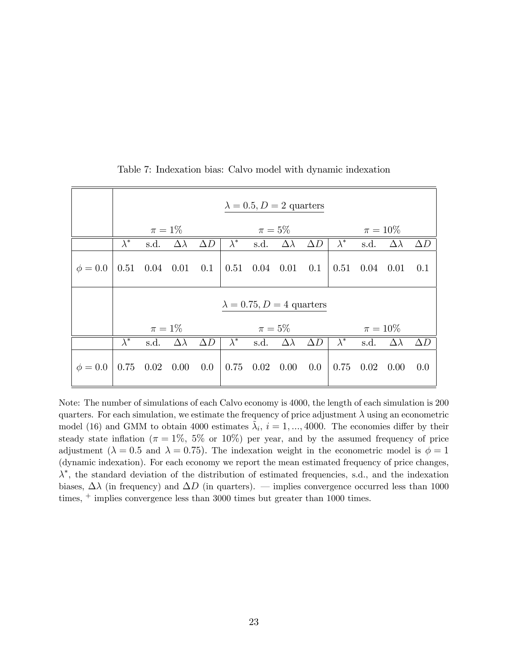|              | $\lambda = 0.5, D = 2$ quarters  |                      |                 |            |             |                      |                  |            |              |      |                  |            |  |
|--------------|----------------------------------|----------------------|-----------------|------------|-------------|----------------------|------------------|------------|--------------|------|------------------|------------|--|
|              |                                  | $\pi=1\%$            |                 |            |             | $\pi=5\%$            |                  |            | $\pi = 10\%$ |      |                  |            |  |
|              | $\bar{\lambda}^*$                | s.d.                 | $\Delta\lambda$ | $\Delta D$ | $\lambda^*$ | s.d.                 | $\Delta\lambda$  | $\Delta D$ | $\lambda^*$  | s.d. | $\Delta\lambda$  | $\Delta D$ |  |
| $\phi = 0.0$ |                                  | $0.51$ $0.04$ $0.01$ |                 | 0.1        |             | $0.51$ $0.04$ $0.01$ |                  | 0.1        | $0.51$ 0.04  |      | 0.01             | 0.1        |  |
|              | $\lambda = 0.75, D = 4$ quarters |                      |                 |            |             |                      |                  |            |              |      |                  |            |  |
|              |                                  | $\pi=1\%$            |                 |            | $\pi=5\%$   |                      |                  |            | $\pi = 10\%$ |      |                  |            |  |
|              | $\overline{\lambda}^*$           | s.d.                 | $\Delta\lambda$ | $\Delta D$ | $\lambda^*$ | s.d.                 | $\Delta \lambda$ | $\Delta D$ | $\lambda^*$  | s.d. | $\Delta \lambda$ | $\Delta D$ |  |
| $\phi = 0.0$ | 0.75                             | 0.02                 | 0.00            | 0.0        | 0.75        | 0.02                 | 0.00             | $0.0\,$    | 0.75         | 0.02 | 0.00             | 0.0        |  |

Table 7: Indexation bias: Calvo model with dynamic indexation

Note: The number of simulations of each Calvo economy is 4000, the length of each simulation is 200 quarters. For each simulation, we estimate the frequency of price adjustment  $\lambda$  using an econometric model (16) and GMM to obtain 4000 estimates  $\tilde{\lambda}_i$ ,  $i = 1, ..., 4000$ . The economies differ by their steady state inflation ( $\pi = 1\%$ , 5% or 10%) per year, and by the assumed frequency of price adjustment ( $\lambda = 0.5$  and  $\lambda = 0.75$ ). The indexation weight in the econometric model is  $\phi = 1$ (dynamic indexation). For each economy we report the mean estimated frequency of price changes,  $\lambda^*$ , the standard deviation of the distribution of estimated frequencies, s.d., and the indexation biases,  $\Delta\lambda$  (in frequency) and  $\Delta D$  (in quarters). – implies convergence occurred less than 1000 times,  $+$  implies convergence less than 3000 times but greater than 1000 times.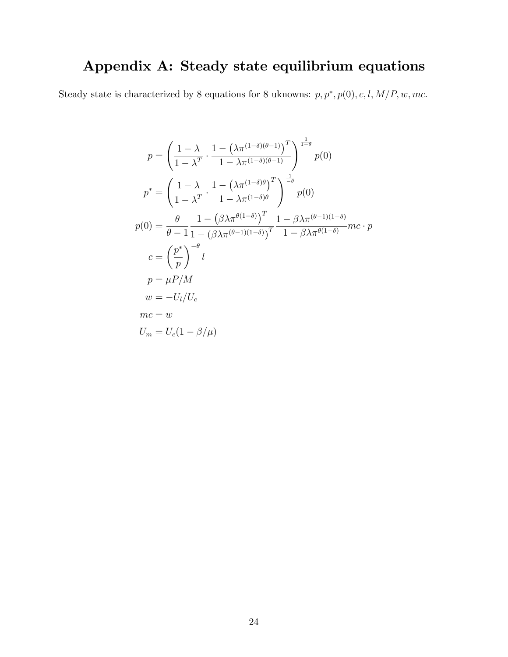## Appendix A: Steady state equilibrium equations

Steady state is characterized by 8 equations for 8 uknowns:  $p, p^*, p(0), c, l, M/P, w, mc$ .

$$
p = \left(\frac{1-\lambda}{1-\lambda^T} \cdot \frac{1-\left(\lambda \pi^{(1-\delta)(\theta-1)}\right)^T}{1-\lambda \pi^{(1-\delta)(\theta-1)}}\right)^{\frac{1}{1-\theta}} p(0)
$$
  
\n
$$
p^* = \left(\frac{1-\lambda}{1-\lambda^T} \cdot \frac{1-\left(\lambda \pi^{(1-\delta)\theta}\right)^T}{1-\lambda \pi^{(1-\delta)\theta}}\right)^{\frac{1}{-\theta}} p(0)
$$
  
\n
$$
p(0) = \frac{\theta}{\theta-1} \frac{1-\left(\beta \lambda \pi^{\theta(1-\delta)}\right)^T}{1-\left(\beta \lambda \pi^{(\theta-1)(1-\delta)}\right)^T} \frac{1-\beta \lambda \pi^{(\theta-1)(1-\delta)}}{1-\beta \lambda \pi^{\theta(1-\delta)}} mc \cdot p
$$
  
\n
$$
c = \left(\frac{p^*}{p}\right)^{-\theta} l
$$
  
\n
$$
p = \mu P/M
$$
  
\n
$$
w = -U_l/U_c
$$
  
\n
$$
mc = w
$$
  
\n
$$
U_m = U_c(1-\beta/\mu)
$$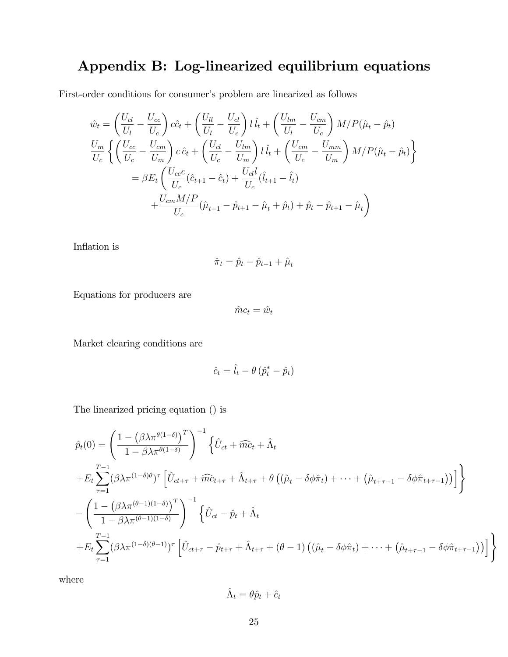## Appendix B: Log-linearized equilibrium equations

First-order conditions for consumer's problem are linearized as follows

$$
\hat{w}_t = \left(\frac{U_{cl}}{U_l} - \frac{U_{cc}}{U_c}\right)c\hat{c}_t + \left(\frac{U_{ll}}{U_l} - \frac{U_{cl}}{U_c}\right)l\hat{l}_t + \left(\frac{U_{lm}}{U_l} - \frac{U_{cm}}{U_c}\right)M/P(\hat{\mu}_t - \hat{p}_t)
$$
\n
$$
\frac{U_m}{U_c}\left\{\left(\frac{U_{cc}}{U_c} - \frac{U_{cm}}{U_m}\right)c\hat{c}_t + \left(\frac{U_{cl}}{U_c} - \frac{U_{lm}}{U_m}\right)l\hat{l}_t + \left(\frac{U_{cm}}{U_c} - \frac{U_{mm}}{U_m}\right)M/P(\hat{\mu}_t - \hat{p}_t)\right\}
$$
\n
$$
= \beta E_t\left(\frac{U_{cc}c}{U_c}(\hat{c}_{t+1} - \hat{c}_t) + \frac{U_{cl}l}{U_c}(\hat{l}_{t+1} - \hat{l}_t)\right)
$$
\n
$$
+ \frac{U_{cm}M/P}{U_c}(\hat{\mu}_{t+1} - \hat{p}_{t+1} - \hat{\mu}_t + \hat{p}_t) + \hat{p}_t - \hat{p}_{t+1} - \hat{\mu}_t
$$

Inflation is

$$
\hat{\pi}_t = \hat{p}_t - \hat{p}_{t-1} + \hat{\mu}_t
$$

Equations for producers are

$$
\hat{m}c_t = \hat{w}_t
$$

Market clearing conditions are

$$
\hat{c}_t = \hat{l}_t - \theta \left( \hat{p}_t^* - \hat{p}_t \right)
$$

The linearized pricing equation () is

$$
\hat{p}_t(0) = \left(\frac{1 - \left(\beta \lambda \pi^{\theta(1-\delta)}\right)^T}{1 - \beta \lambda \pi^{\theta(1-\delta)}}\right)^{-1} \left\{\hat{U}_{ct} + \widehat{mc}_t + \hat{\Lambda}_t\n+ E_t \sum_{\tau=1}^{T-1} (\beta \lambda \pi^{(1-\delta)\theta})^{\tau} \left[\hat{U}_{ct+\tau} + \widehat{mc}_{t+\tau} + \hat{\Lambda}_{t+\tau} + \theta \left((\hat{\mu}_t - \delta \phi \hat{\pi}_t) + \dots + (\hat{\mu}_{t+\tau-1} - \delta \phi \hat{\pi}_{t+\tau-1})\right)\right]\right\}
$$
\n
$$
- \left(\frac{1 - \left(\beta \lambda \pi^{(\theta-1)(1-\delta)}\right)^T}{1 - \beta \lambda \pi^{(\theta-1)(1-\delta)}}\right)^{-1} \left\{\hat{U}_{ct} - \hat{p}_t + \hat{\Lambda}_t\n+ E_t \sum_{\tau=1}^{T-1} (\beta \lambda \pi^{(1-\delta)(\theta-1)})^{\tau} \left[\hat{U}_{ct+\tau} - \hat{p}_{t+\tau} + \hat{\Lambda}_{t+\tau} + (\theta - 1) \left((\hat{\mu}_t - \delta \phi \hat{\pi}_t) + \dots + (\hat{\mu}_{t+\tau-1} - \delta \phi \hat{\pi}_{t+\tau-1})\right)\right]\right\}
$$

where

$$
\hat{\Lambda}_t = \theta \hat{p}_t + \hat{c}_t
$$